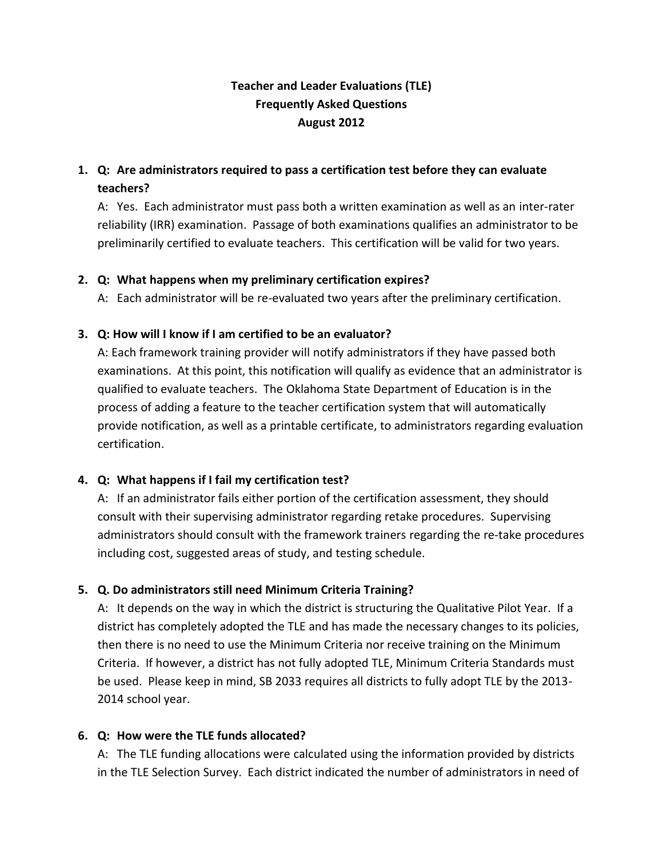# **Teacher and Leader Evaluations (TLE) Frequently Asked Questions August 2012**

# **1. Q: Are administrators required to pass a certification test before they can evaluate teachers?**

A: Yes. Each administrator must pass both a written examination as well as an inter-rater reliability (IRR) examination. Passage of both examinations qualifies an administrator to be preliminarily certified to evaluate teachers. This certification will be valid for two years.

### **2. Q: What happens when my preliminary certification expires?**

A: Each administrator will be re-evaluated two years after the preliminary certification.

#### **3. Q: How will I know if I am certified to be an evaluator?**

A: Each framework training provider will notify administrators if they have passed both examinations. At this point, this notification will qualify as evidence that an administrator is qualified to evaluate teachers. The Oklahoma State Department of Education is in the process of adding a feature to the teacher certification system that will automatically provide notification, as well as a printable certificate, to administrators regarding evaluation certification.

### **4. Q: What happens if I fail my certification test?**

A: If an administrator fails either portion of the certification assessment, they should consult with their supervising administrator regarding retake procedures. Supervising administrators should consult with the framework trainers regarding the re-take procedures including cost, suggested areas of study, and testing schedule.

### **5. Q. Do administrators still need Minimum Criteria Training?**

A: It depends on the way in which the district is structuring the Qualitative Pilot Year. If a district has completely adopted the TLE and has made the necessary changes to its policies, then there is no need to use the Minimum Criteria nor receive training on the Minimum Criteria. If however, a district has not fully adopted TLE, Minimum Criteria Standards must be used. Please keep in mind, SB 2033 requires all districts to fully adopt TLE by the 2013- 2014 school year.

### **6. Q: How were the TLE funds allocated?**

A: The TLE funding allocations were calculated using the information provided by districts in the TLE Selection Survey. Each district indicated the number of administrators in need of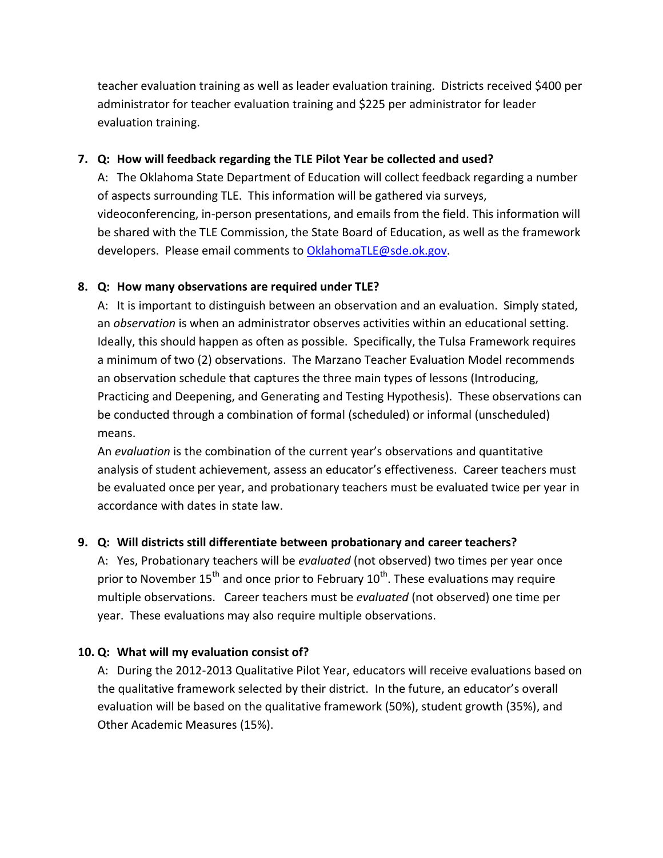teacher evaluation training as well as leader evaluation training. Districts received \$400 per administrator for teacher evaluation training and \$225 per administrator for leader evaluation training.

### **7. Q: How will feedback regarding the TLE Pilot Year be collected and used?**

A: The Oklahoma State Department of Education will collect feedback regarding a number of aspects surrounding TLE. This information will be gathered via surveys, videoconferencing, in-person presentations, and emails from the field. This information will be shared with the TLE Commission, the State Board of Education, as well as the framework developers. Please email comments to [OklahomaTLE@sde.ok.gov.](mailto:OklahomaTLE@sde.ok.gov)

### **8. Q: How many observations are required under TLE?**

A: It is important to distinguish between an observation and an evaluation. Simply stated, an *observation* is when an administrator observes activities within an educational setting. Ideally, this should happen as often as possible. Specifically, the Tulsa Framework requires a minimum of two (2) observations. The Marzano Teacher Evaluation Model recommends an observation schedule that captures the three main types of lessons (Introducing, Practicing and Deepening, and Generating and Testing Hypothesis). These observations can be conducted through a combination of formal (scheduled) or informal (unscheduled) means.

An *evaluation* is the combination of the current year's observations and quantitative analysis of student achievement, assess an educator's effectiveness. Career teachers must be evaluated once per year, and probationary teachers must be evaluated twice per year in accordance with dates in state law.

## **9. Q: Will districts still differentiate between probationary and career teachers?**

A: Yes, Probationary teachers will be *evaluated* (not observed) two times per year once prior to November 15<sup>th</sup> and once prior to February 10<sup>th</sup>. These evaluations may require multiple observations. Career teachers must be *evaluated* (not observed) one time per year. These evaluations may also require multiple observations.

## **10. Q: What will my evaluation consist of?**

A: During the 2012-2013 Qualitative Pilot Year, educators will receive evaluations based on the qualitative framework selected by their district. In the future, an educator's overall evaluation will be based on the qualitative framework (50%), student growth (35%), and Other Academic Measures (15%).